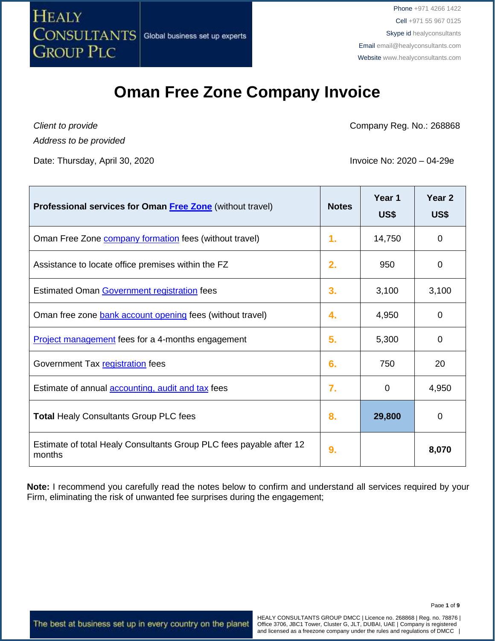

### **Oman Free Zone Company Invoice**

*Client to provide Address to be provided*

Date: Thursday, April 30, 2020 **Invoice No: 2020** – 04-29e

Company Reg. No.: 268868

| <b>Professional services for Oman Free Zone</b> (without travel)              | <b>Notes</b> | Year 1<br>US\$ | Year <sub>2</sub><br>US\$ |
|-------------------------------------------------------------------------------|--------------|----------------|---------------------------|
| Oman Free Zone <b>company formation</b> fees (without travel)                 | 1.           | 14,750         | 0                         |
| Assistance to locate office premises within the FZ                            | 2.           | 950            | 0                         |
| Estimated Oman Government registration fees                                   | 3.           | 3,100          | 3,100                     |
| Oman free zone bank account opening fees (without travel)                     | 4.           | 4,950          | 0                         |
| <b>Project management</b> fees for a 4-months engagement                      | 5.           | 5,300          | 0                         |
| Government Tax registration fees                                              | 6.           | 750            | 20                        |
| Estimate of annual <b>accounting</b> , audit and tax fees                     | 7.           | 0              | 4,950                     |
| <b>Total Healy Consultants Group PLC fees</b>                                 | 8.           | 29,800         | 0                         |
| Estimate of total Healy Consultants Group PLC fees payable after 12<br>months | 9.           |                | 8,070                     |

**Note:** I recommend you carefully read the notes below to confirm and understand all services required by your Firm, eliminating the risk of unwanted fee surprises during the engagement;

The best at business set up in every country on the planet

HEALY CONSULTANTS GROUP DMCC | Licence no. 268868 | Reg. no. 78876 | Office 3706, JBC1 Tower, Cluster G, JLT, DUBAI, UAE | Company is registered and licensed as a freezone company under the rules and regulations of DMCC |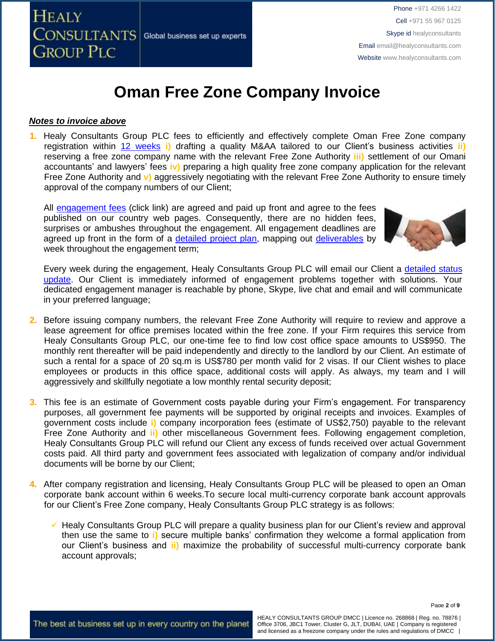

# **Oman Free Zone Company Invoice**

### *Notes to invoice above*

**1.** Healy Consultants Group PLC fees to efficiently and effectively complete Oman Free Zone company registration within 12 [weeks](http://www.healyconsultants.com/oman-company-registration/fees-timelines/) **i)** drafting a quality M&AA tailored to our Client's business activities **ii)** reserving a free zone company name with the relevant Free Zone Authority **iii)** settlement of our Omani accountants' and lawyers' fees **iv)** preparing a high quality free zone company application for the relevant Free Zone Authority and **v)** aggressively negotiating with the relevant Free Zone Authority to ensure timely approval of the company numbers of our Client;

All [engagement fees](http://www.healyconsultants.com/company-registration-fees/) (click link) are agreed and paid up front and agree to the fees published on our country web pages. Consequently, there are no hidden fees, surprises or ambushes throughout the engagement. All engagement deadlines are agreed up front in the form of a [detailed project plan,](http://www.healyconsultants.com/index-important-links/example-project-plan/) mapping out [deliverables](http://www.healyconsultants.com/deliverables-to-our-clients/) by week throughout the engagement term;



Every week during the engagement, Healy Consultants Group PLC will email our Client a [detailed status](http://www.healyconsultants.com/index-important-links/weekly-engagement-status-email/)  [update.](http://www.healyconsultants.com/index-important-links/weekly-engagement-status-email/) Our Client is immediately informed of engagement problems together with solutions. Your dedicated engagement manager is reachable by phone, Skype, live chat and email and will communicate in your preferred language;

- **2.** Before issuing company numbers, the relevant Free Zone Authority will require to review and approve a lease agreement for office premises located within the free zone. If your Firm requires this service from Healy Consultants Group PLC, our one-time fee to find low cost office space amounts to US\$950. The monthly rent thereafter will be paid independently and directly to the landlord by our Client. An estimate of such a rental for a space of 20 sq.m is US\$780 per month valid for 2 visas. If our Client wishes to place employees or products in this office space, additional costs will apply. As always, my team and I will aggressively and skillfully negotiate a low monthly rental security deposit;
- **3.** This fee is an estimate of Government costs payable during your Firm's engagement. For transparency purposes, all government fee payments will be supported by original receipts and invoices. Examples of government costs include **i)** company incorporation fees (estimate of US\$2,750) payable to the relevant Free Zone Authority and **ii)** other miscellaneous Government fees. Following engagement completion, Healy Consultants Group PLC will refund our Client any excess of funds received over actual Government costs paid. All third party and government fees associated with legalization of company and/or individual documents will be borne by our Client;
- **4.** After company registration and licensing, Healy Consultants Group PLC will be pleased to open an Oman corporate bank account within 6 weeks.To secure local multi-currency corporate bank account approvals for our Client's Free Zone company, Healy Consultants Group PLC strategy is as follows:
	- ✓ Healy Consultants Group PLC will prepare a quality business plan for our Client's review and approval then use the same to **i)** secure multiple banks' confirmation they welcome a formal application from our Client's business and **ii)** maximize the probability of successful multi-currency corporate bank account approvals;

Page **2** of **9**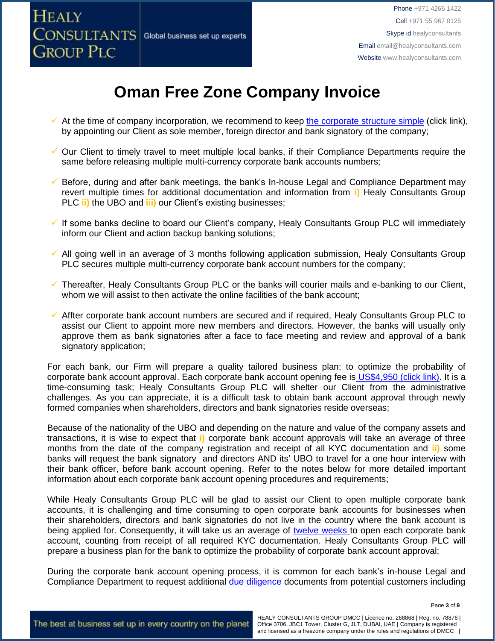

# **Oman Free Zone Company Invoice**

- $\checkmark$  At the time of company incorporation, we recommend to keep [the corporate structure simple](https://www.healyconsultants.com/about-us/complex-client-engagements/simplify-business-setup/) (click link), by appointing our Client as sole member, foreign director and bank signatory of the company;
- ✓ Our Client to timely travel to meet multiple local banks, if their Compliance Departments require the same before releasing multiple multi-currency corporate bank accounts numbers;
- ✓ Before, during and after bank meetings, the bank's In-house Legal and Compliance Department may revert multiple times for additional documentation and information from **i)** Healy Consultants Group PLC **ii)** the UBO and **iii)** our Client's existing businesses;
- ✓ If some banks decline to board our Client's company, Healy Consultants Group PLC will immediately inform our Client and action backup banking solutions;
- All going well in an average of 3 months following application submission, Healy Consultants Group PLC secures multiple multi-currency corporate bank account numbers for the company;
- ✓ Thereafter, Healy Consultants Group PLC or the banks will courier mails and e-banking to our Client, whom we will assist to then activate the online facilities of the bank account;
- ✓ Affter corporate bank account numbers are secured and if required, Healy Consultants Group PLC to assist our Client to appoint more new members and directors. However, the banks will usually only approve them as bank signatories after a face to face meeting and review and approval of a bank signatory application;

For each bank, our Firm will prepare a quality tailored business plan; to optimize the probability of corporate bank account approval. Each corporate bank account opening fee is US\$4,950 [\(click link\).](https://www.healyconsultants.com/global-corporate-banking-for-resident-company/) It is a time-consuming task; Healy Consultants Group PLC will shelter our Client from the administrative challenges. As you can appreciate, it is a difficult task to obtain bank account approval through newly formed companies when shareholders, directors and bank signatories reside overseas;

Because of the nationality of the UBO and depending on the nature and value of the company assets and transactions, it is wise to expect that **i)** corporate bank account approvals will take an average of three months from the date of the company registration and receipt of all KYC documentation and **ii)** some banks will request the bank signatory and directors AND its' UBO to travel for a one hour interview with their bank officer, before bank account opening. Refer to the notes below for more detailed important information about each corporate bank account opening procedures and requirements;

While Healy Consultants Group PLC will be glad to assist our Client to open multiple corporate bank accounts, it is challenging and time consuming to open corporate bank accounts for businesses when their shareholders, directors and bank signatories do not live in the country where the bank account is being applied for. Consequently, it will take us an average of [twelve weeks](http://www.healyconsultants.com/international-banking/bitcoin-business-bank-account/) to open each corporate bank account, counting from receipt of all required KYC documentation. Healy Consultants Group PLC will prepare a business plan for the bank to optimize the probability of corporate bank account approval;

During the corporate bank account opening process, it is common for each bank's in-house Legal and Compliance Department to request additional [due diligence](http://www.healyconsultants.com/due-diligence/) documents from potential customers including

Page **3** of **9**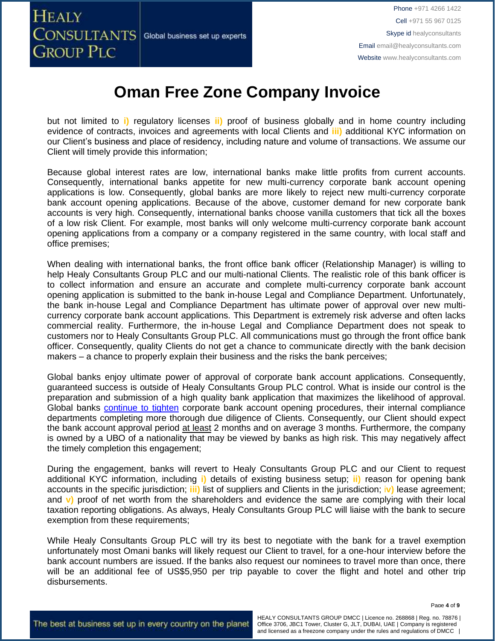**HEALY** CONSULTANTS Global business set up experts **GROUP PLC** 

Phone +971 4266 1422 Cell +971 55 967 0125 Skype id healyconsultants Email [email@healyconsultants.com](mailto:EMAIL@HEALYCONSULTANTS.COM) Website [www.healyconsultants.com](http://www.healyconsultants.com/)

## **Oman Free Zone Company Invoice**

but not limited to **i)** regulatory licenses **ii)** proof of business globally and in home country including evidence of contracts, invoices and agreements with local Clients and **iii)** additional KYC information on our Client's business and place of residency, including nature and volume of transactions. We assume our Client will timely provide this information;

Because global interest rates are low, international banks make little profits from current accounts. Consequently, international banks appetite for new multi-currency corporate bank account opening applications is low. Consequently, global banks are more likely to reject new multi-currency corporate bank account opening applications. Because of the above, customer demand for new corporate bank accounts is very high. Consequently, international banks choose vanilla customers that tick all the boxes of a low risk Client. For example, most banks will only welcome multi-currency corporate bank account opening applications from a company or a company registered in the same country, with local staff and office premises;

When dealing with international banks, the front office bank officer (Relationship Manager) is willing to help Healy Consultants Group PLC and our multi-national Clients. The realistic role of this bank officer is to collect information and ensure an accurate and complete multi-currency corporate bank account opening application is submitted to the bank in-house Legal and Compliance Department. Unfortunately, the bank in-house Legal and Compliance Department has ultimate power of approval over new multicurrency corporate bank account applications. This Department is extremely risk adverse and often lacks commercial reality. Furthermore, the in-house Legal and Compliance Department does not speak to customers nor to Healy Consultants Group PLC. All communications must go through the front office bank officer. Consequently, quality Clients do not get a chance to communicate directly with the bank decision makers – a chance to properly explain their business and the risks the bank perceives;

Global banks enjoy ultimate power of approval of corporate bank account applications. Consequently, guaranteed success is outside of Healy Consultants Group PLC control. What is inside our control is the preparation and submission of a high quality bank application that maximizes the likelihood of approval. Global banks [continue to tighten](https://www.healyconsultants.com/international-banking/opening-corporate-bank-accounts/) corporate bank account opening procedures, their internal compliance departments completing more thorough due diligence of Clients. Consequently, our Client should expect the bank account approval period at least 2 months and on average 3 months. Furthermore, the company is owned by a UBO of a nationality that may be viewed by banks as high risk. This may negatively affect the timely completion this engagement;

During the engagement, banks will revert to Healy Consultants Group PLC and our Client to request additional KYC information, including **i)** details of existing business setup; **ii)** reason for opening bank accounts in the specific jurisdiction; **iii)** list of suppliers and Clients in the jurisdiction; i**v)** lease agreement; and **v)** proof of net worth from the shareholders and evidence the same are complying with their local taxation reporting obligations. As always, Healy Consultants Group PLC will liaise with the bank to secure exemption from these requirements;

While Healy Consultants Group PLC will try its best to negotiate with the bank for a travel exemption unfortunately most Omani banks will likely request our Client to travel, for a one-hour interview before the bank account numbers are issued. If the banks also request our nominees to travel more than once, there will be an additional fee of US\$5,950 per trip payable to cover the flight and hotel and other trip disbursements.

Page **4** of **9**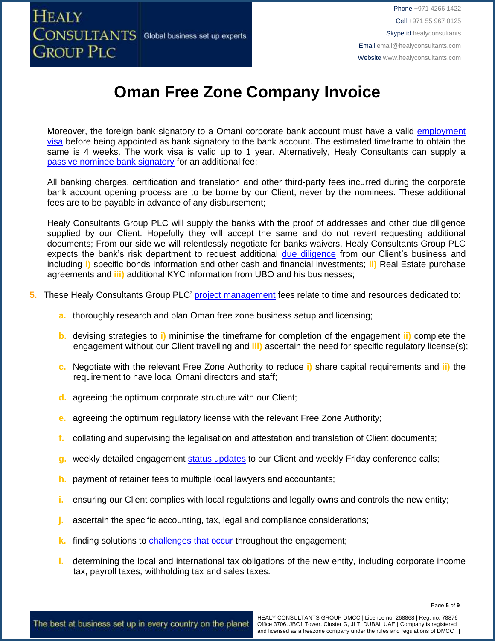

# **Oman Free Zone Company Invoice**

Moreover, the foreign bank signatory to a Omani corporate bank account must have a valid [employment](https://www.healyconsultants.com/oman-company-registration/formation-support-services/) [visa](https://www.healyconsultants.com/oman-company-registration/formation-support-services/) before being appointed as bank signatory to the bank account. The estimated timeframe to obtain the same is 4 weeks. The work visa is valid up to 1 year. Alternatively, Healy Consultants can supply a [passive nominee bank signatory](http://www.healyconsultants.com/corporate-banking-services/nominee-bank-signatory/) for an additional fee;

All banking charges, certification and translation and other third-party fees incurred during the corporate bank account opening process are to be borne by our Client, never by the nominees. These additional fees are to be payable in advance of any disbursement;

Healy Consultants Group PLC will supply the banks with the proof of addresses and other due diligence supplied by our Client. Hopefully they will accept the same and do not revert requesting additional documents; From our side we will relentlessly negotiate for banks waivers. Healy Consultants Group PLC expects the bank's risk department to request additional [due diligence](http://www.healyconsultants.com/due-diligence/) from our Client's business and including **i)** specific bonds information and other cash and financial investments; **ii)** Real Estate purchase agreements and **iii)** additional KYC information from UBO and his businesses;

- **5.** These Healy Consultants Group PLC' [project management](http://www.healyconsultants.com/project-manage-engagements/) fees relate to time and resources dedicated to:
	- **a.** thoroughly research and plan Oman free zone business setup and licensing;
	- **b.** devising strategies to **i)** minimise the timeframe for completion of the engagement **ii)** complete the engagement without our Client travelling and **iii)** ascertain the need for specific regulatory license(s);
	- **c.** Negotiate with the relevant Free Zone Authority to reduce **i)** share capital requirements and **ii)** the requirement to have local Omani directors and staff;
	- **d.** agreeing the optimum corporate structure with our Client;
	- **e.** agreeing the optimum regulatory license with the relevant Free Zone Authority;
	- **f.** collating and supervising the legalisation and attestation and translation of Client documents;
	- **g.** weekly detailed engagement [status updates](http://www.healyconsultants.com/index-important-links/weekly-engagement-status-email/) to our Client and weekly Friday conference calls;
	- **h.** payment of retainer fees to multiple local lawyers and accountants;
	- **i.** ensuring our Client complies with local regulations and legally owns and controls the new entity;
	- **j.** ascertain the specific accounting, tax, legal and compliance considerations;
	- **k.** finding solutions to [challenges that occur](http://www.healyconsultants.com/engagement-project-management/) throughout the engagement;
	- **l.** determining the local and international tax obligations of the new entity, including corporate income tax, payroll taxes, withholding tax and sales taxes.

Page **5** of **9**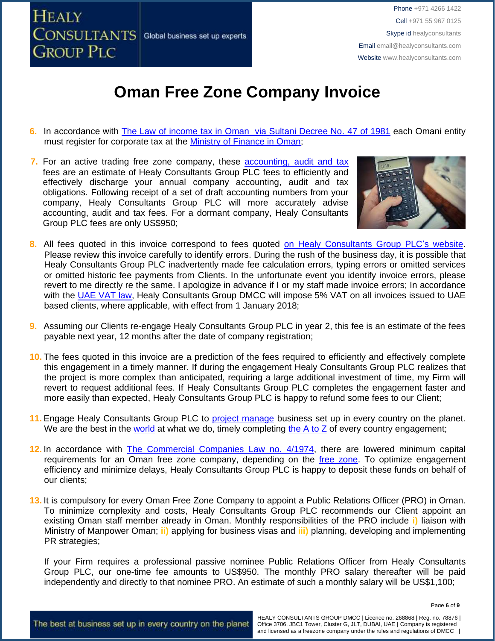

# **Oman Free Zone Company Invoice**

- **6.** In accordance with [The Law of income tax in Oman via Sultani Decree No. 47 of 1981](http://www.taxoman.gov.om/companies%20law%20in%20English.pdf) each Omani entity must register for corporate tax at the [Ministry of Finance in Oman;](http://www.taxoman.gov.om/company_tax.html#main-page)
- **7.** For an active trading free zone company, these [accounting, audit](http://www.healyconsultants.com/oman-company-registration/accounting-legal/) and tax fees are an estimate of Healy Consultants Group PLC fees to efficiently and effectively discharge your annual company accounting, audit and tax obligations. Following receipt of a set of draft accounting numbers from your company, Healy Consultants Group PLC will more accurately advise accounting, audit and tax fees. For a dormant company, Healy Consultants Group PLC fees are only US\$950;



- 8. All fees quoted in this invoice correspond to fees quoted [on Healy Consultants Group PLC's](http://www.healyconsultants.com/company-registration-fees/) website. Please review this invoice carefully to identify errors. During the rush of the business day, it is possible that Healy Consultants Group PLC inadvertently made fee calculation errors, typing errors or omitted services or omitted historic fee payments from Clients. In the unfortunate event you identify invoice errors, please revert to me directly re the same. I apologize in advance if I or my staff made invoice errors; In accordance with the [UAE VAT law,](https://www.tax.gov.ae/legislation.aspx) Healy Consultants Group DMCC will impose 5% VAT on all invoices issued to UAE based clients, where applicable, with effect from 1 January 2018;
- **9.** Assuming our Clients re-engage Healy Consultants Group PLC in year 2, this fee is an estimate of the fees payable next year, 12 months after the date of company registration;
- **10.** The fees quoted in this invoice are a prediction of the fees required to efficiently and effectively complete this engagement in a timely manner. If during the engagement Healy Consultants Group PLC realizes that the project is more complex than anticipated, requiring a large additional investment of time, my Firm will revert to request additional fees. If Healy Consultants Group PLC completes the engagement faster and more easily than expected, Healy Consultants Group PLC is happy to refund some fees to our Client;
- 11. Engage Healy Consultants Group PLC to [project manage](http://www.healyconsultants.com/project-manage-engagements/) business set up in every country on the planet. We are the best in the [world](http://www.healyconsultants.com/best-in-the-world/) at what we do, timely completing the  $A$  to  $Z$  of every country engagement;
- 12. In accordance with **The Commercial Companies Law no.** 4/1974, there are lowered minimum capital requirements for an Oman free zone company, depending on the [free zone.](http://www.healyconsultants.com/oman-company-registration/free-zones/) To optimize engagement efficiency and minimize delays, Healy Consultants Group PLC is happy to deposit these funds on behalf of our clients;
- **13.** It is compulsory for every Oman Free Zone Company to appoint a Public Relations Officer (PRO) in Oman. To minimize complexity and costs, Healy Consultants Group PLC recommends our Client appoint an existing Oman staff member already in Oman. Monthly responsibilities of the PRO include **i)** liaison with Ministry of Manpower Oman; **ii)** applying for business visas and **iii)** planning, developing and implementing PR strategies;

If your Firm requires a professional passive nominee Public Relations Officer from Healy Consultants Group PLC, our one-time fee amounts to US\$950. The monthly PRO salary thereafter will be paid independently and directly to that nominee PRO. An estimate of such a monthly salary will be US\$1,100;

Page **6** of **9**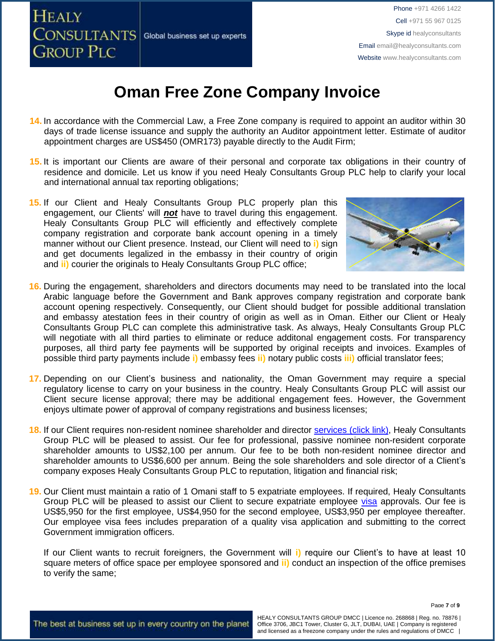

# **Oman Free Zone Company Invoice**

- **14.** In accordance with the Commercial Law, a Free Zone company is required to appoint an auditor within 30 days of trade license issuance and supply the authority an Auditor appointment letter. Estimate of auditor appointment charges are US\$450 (OMR173) payable directly to the Audit Firm;
- **15.** It is important our Clients are aware of their personal and corporate tax obligations in their country of residence and domicile. Let us know if you need Healy Consultants Group PLC help to clarify your local and international annual tax reporting obligations;
- **16. 15.** If our Client and Healy Consultants Group PLC properly plan this engagement, our Clients' will *not* have to travel during this engagement. Healy Consultants Group PLC will efficiently and effectively complete company registration and corporate bank account opening in a timely manner without our Client presence. Instead, our Client will need to **i)** sign and get documents legalized in the embassy in their country of origin and **ii)** courier the originals to Healy Consultants Group PLC office;



- **16.** During the engagement, shareholders and directors documents may need to be translated into the local Arabic language before the Government and Bank approves company registration and corporate bank account opening respectively. Consequently, our Client should budget for possible additional translation and embassy atestation fees in their country of origin as well as in Oman. Either our Client or Healy Consultants Group PLC can complete this administrative task. As always, Healy Consultants Group PLC will negotiate with all third parties to eliminate or reduce additonal engagement costs. For transparency purposes, all third party fee payments will be supported by original receipts and invoices. Examples of possible third party payments include **i)** embassy fees **ii)** notary public costs **iii)** official translator fees;
- **17.** Depending on our Client's business and nationality, the Oman Government may require a special regulatory license to carry on your business in the country. Healy Consultants Group PLC will assist our Client secure license approval; there may be additional engagement fees. However, the Government enjoys ultimate power of approval of company registrations and business licenses;
- **18.** If our Client requires non-resident nominee shareholder and director services [\(click link\),](http://www.healyconsultants.com/corporate-outsourcing-services/nominee-shareholders-directors/) Healy Consultants Group PLC will be pleased to assist. Our fee for professional, passive nominee non-resident corporate shareholder amounts to US\$2,100 per annum. Our fee to be both non-resident nominee director and shareholder amounts to US\$6,600 per annum. Being the sole shareholders and sole director of a Client's company exposes Healy Consultants Group PLC to reputation, litigation and financial risk;
- **19.** Our Client must maintain a ratio of 1 Omani staff to 5 expatriate employees. If required, Healy Consultants Group PLC will be pleased to assist our Client to secure expatriate employee [visa](http://www.healyconsultants.com/oman-company-registration/formation-support-services/) approvals. Our fee is US\$5,950 for the first employee, US\$4,950 for the second employee, US\$3,950 per employee thereafter. Our employee visa fees includes preparation of a quality visa application and submitting to the correct Government immigration officers.

If our Client wants to recruit foreigners, the Government will **i)** require our Client's to have at least 10 square meters of office space per employee sponsored and **ii)** conduct an inspection of the office premises to verify the same;

Page **7** of **9**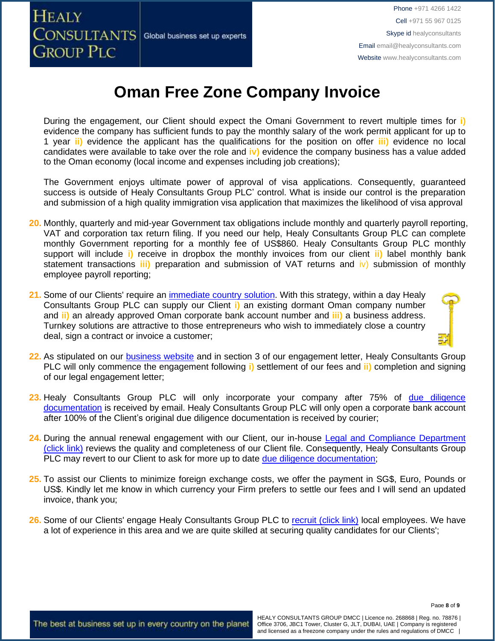

# **Oman Free Zone Company Invoice**

During the engagement, our Client should expect the Omani Government to revert multiple times for **i)** evidence the company has sufficient funds to pay the monthly salary of the work permit applicant for up to 1 year **ii)** evidence the applicant has the qualifications for the position on offer **iii)** evidence no local candidates were available to take over the role and **iv)** evidence the company business has a value added to the Oman economy (local income and expenses including job creations);

The Government enjoys ultimate power of approval of visa applications. Consequently, guaranteed success is outside of Healy Consultants Group PLC' control. What is inside our control is the preparation and submission of a high quality immigration visa application that maximizes the likelihood of visa approval

- **20.** Monthly, quarterly and mid-year Government tax obligations include monthly and quarterly payroll reporting, VAT and corporation tax return filing. If you need our help, Healy Consultants Group PLC can complete monthly Government reporting for a monthly fee of US\$860. Healy Consultants Group PLC monthly support will include **i)** receive in dropbox the monthly invoices from our client **ii)** label monthly bank statement transactions **iii)** preparation and submission of VAT returns and iv) submission of monthly employee payroll reporting;
- **21.** Some of our Clients' require an [immediate country solution.](http://www.healyconsultants.com/turnkey-solutions/) With this strategy, within a day Healy Consultants Group PLC can supply our Client **i)** an existing dormant Oman company number and **ii)** an already approved Oman corporate bank account number and **iii)** a business address. Turnkey solutions are attractive to those entrepreneurs who wish to immediately close a country deal, sign a contract or invoice a customer;
- 22. As stipulated on our **business website** and in section 3 of our engagement letter, Healy Consultants Group PLC will only commence the engagement following **i)** settlement of our fees and **ii)** completion and signing of our legal engagement letter;
- 23. Healy Consultants Group PLC will only incorporate your company after 75% of due diligence [documentation](http://www.healyconsultants.com/due-diligence/) is received by email. Healy Consultants Group PLC will only open a corporate bank account after 100% of the Client's original due diligence documentation is received by courier;
- **24.** During the annual renewal engagement with our Client, our in-house [Legal and Compliance Department](http://www.healyconsultants.com/about-us/key-personnel/cai-xin-profile/)  [\(click link\)](http://www.healyconsultants.com/about-us/key-personnel/cai-xin-profile/) reviews the quality and completeness of our Client file. Consequently, Healy Consultants Group PLC may revert to our Client to ask for more up to date due diligence [documentation;](http://www.healyconsultants.com/due-diligence/)
- **25.** To assist our Clients to minimize foreign exchange costs, we offer the payment in SG\$, Euro, Pounds or US\$. Kindly let me know in which currency your Firm prefers to settle our fees and I will send an updated invoice, thank you;
- 26. Some of our Clients' engage Healy Consultants Group PLC to [recruit \(click link\)](http://www.healyconsultants.com/corporate-outsourcing-services/how-we-help-our-clients-recruit-quality-employees/) local employees. We have a lot of experience in this area and we are quite skilled at securing quality candidates for our Clients';

The best at business set up in every country on the planet